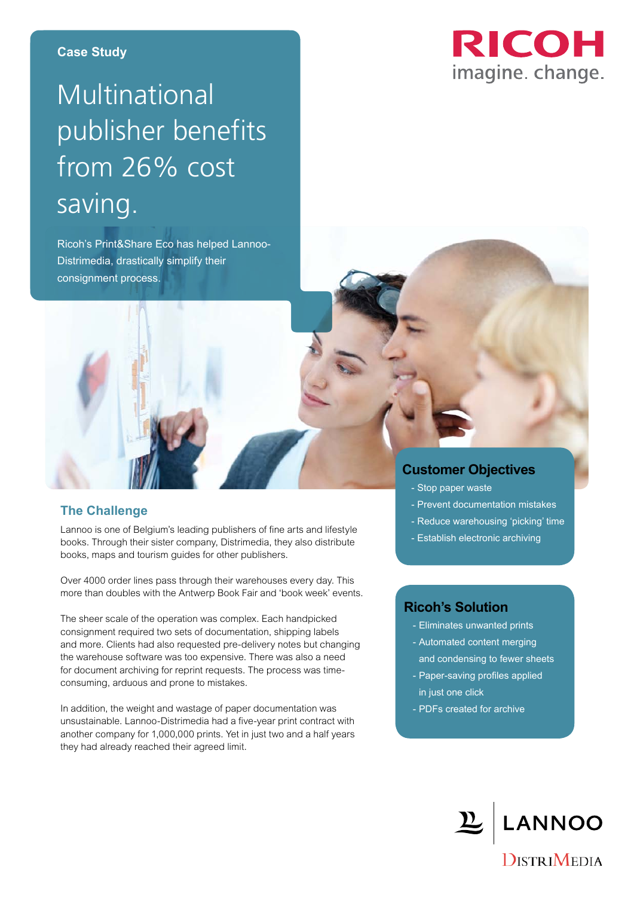## Multinational publisher benefits from 26% cost saving.

Ricoh's Print&Share Eco has helped Lannoo-Distrimedia, drastically simplify their consignment process.



### **Customer Objectives**

- Stop paper waste
- Prevent documentation mistakes
- Reduce warehousing 'picking' time
- Establish electronic archiving

### **Ricoh's Solution**

- Eliminates unwanted prints
- Automated content merging and condensing to fewer sheets
- Paper-saving profiles applied in just one click
- PDFs created for archive

# LANNOO

**DISTRIMEDIA** 

#### **The Challenge**

Lannoo is one of Belgium's leading publishers of fine arts and lifestyle books. Through their sister company, Distrimedia, they also distribute books, maps and tourism guides for other publishers.

Over 4000 order lines pass through their warehouses every day. This more than doubles with the Antwerp Book Fair and 'book week' events.

The sheer scale of the operation was complex. Each handpicked consignment required two sets of documentation, shipping labels and more. Clients had also requested pre-delivery notes but changing the warehouse software was too expensive. There was also a need for document archiving for reprint requests. The process was timeconsuming, arduous and prone to mistakes.

In addition, the weight and wastage of paper documentation was unsustainable. Lannoo-Distrimedia had a five-year print contract with another company for 1,000,000 prints. Yet in just two and a half years they had already reached their agreed limit.